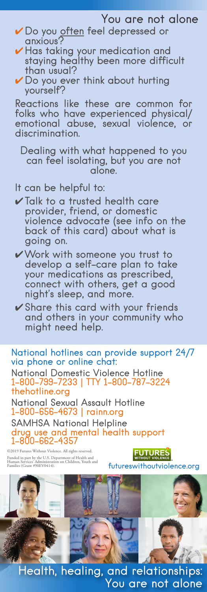### You are not alone

- ✔ Do you often feel depressed or anxious?
- ✔ Has taking your medication and staying healthy been more difficult than usual?
- $\vee$  Do you ever think about hurting yourself?

Reactions like these are common for folks who have experienced physical/ emotional abuse, sexual violence, or discrimination.

Dealing with what happened to you can feel isolating, but you are not alone.

#### It can be helpful to:

- $\checkmark$  Talk to a trusted health care provider, friend, or domestic violence advocate (see info on the back of this card) about what is going on.
- ✔Work with someone you trust to develop a self-care plan to take your medications as prescribed, connect with others, get a good night's sleep, and more.
- ✔ Share this card with your friends and others in your community who might need help.

National hotlines can provide support 24/7 via phone or online chat:

National Domestic Violence Hotline 1-800-799-7233 | TTY 1-800-787-3224 thehotline.org

National Sexual Assault Hotline 1-800-656-4673 | rainn.org

SAMHSA National Helpline drug use and mental health support 1-800-662-4357

©2019 Futures Without Violence. All rights reserved.

**FUTURES** Funded in part by the U.S. Department of Health and **Funded in participal to the U.S.**<br>Human Services' Administration on Children, Youth and **futureswithoutviolence.org** 



Health, healing, and relationships: You are not alone